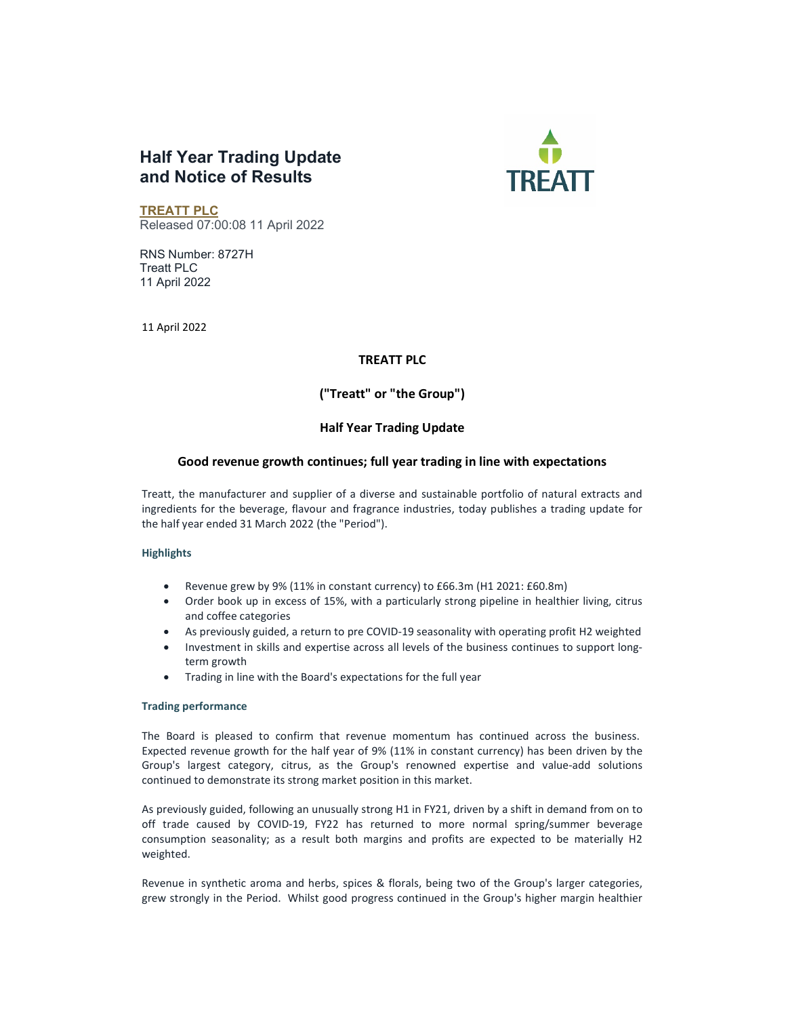# Half Year Trading Update and Notice of Results



TREATT PLC Released 07:00:08 11 April 2022

RNS Number: 8727H Treatt PLC 11 April 2022

11 April 2022

### TREATT PLC

# ("Treatt" or "the Group")

# Half Year Trading Update

### Good revenue growth continues; full year trading in line with expectations

Treatt, the manufacturer and supplier of a diverse and sustainable portfolio of natural extracts and ingredients for the beverage, flavour and fragrance industries, today publishes a trading update for the half year ended 31 March 2022 (the "Period").

### **Highlights**

- Revenue grew by 9% (11% in constant currency) to £66.3m (H1 2021: £60.8m)
- Order book up in excess of 15%, with a particularly strong pipeline in healthier living, citrus and coffee categories
- As previously guided, a return to pre COVID-19 seasonality with operating profit H2 weighted
- Investment in skills and expertise across all levels of the business continues to support longterm growth
- Trading in line with the Board's expectations for the full year

#### Trading performance

The Board is pleased to confirm that revenue momentum has continued across the business. Expected revenue growth for the half year of 9% (11% in constant currency) has been driven by the Group's largest category, citrus, as the Group's renowned expertise and value-add solutions continued to demonstrate its strong market position in this market.

As previously guided, following an unusually strong H1 in FY21, driven by a shift in demand from on to off trade caused by COVID-19, FY22 has returned to more normal spring/summer beverage consumption seasonality; as a result both margins and profits are expected to be materially H2 weighted.

Revenue in synthetic aroma and herbs, spices & florals, being two of the Group's larger categories, grew strongly in the Period. Whilst good progress continued in the Group's higher margin healthier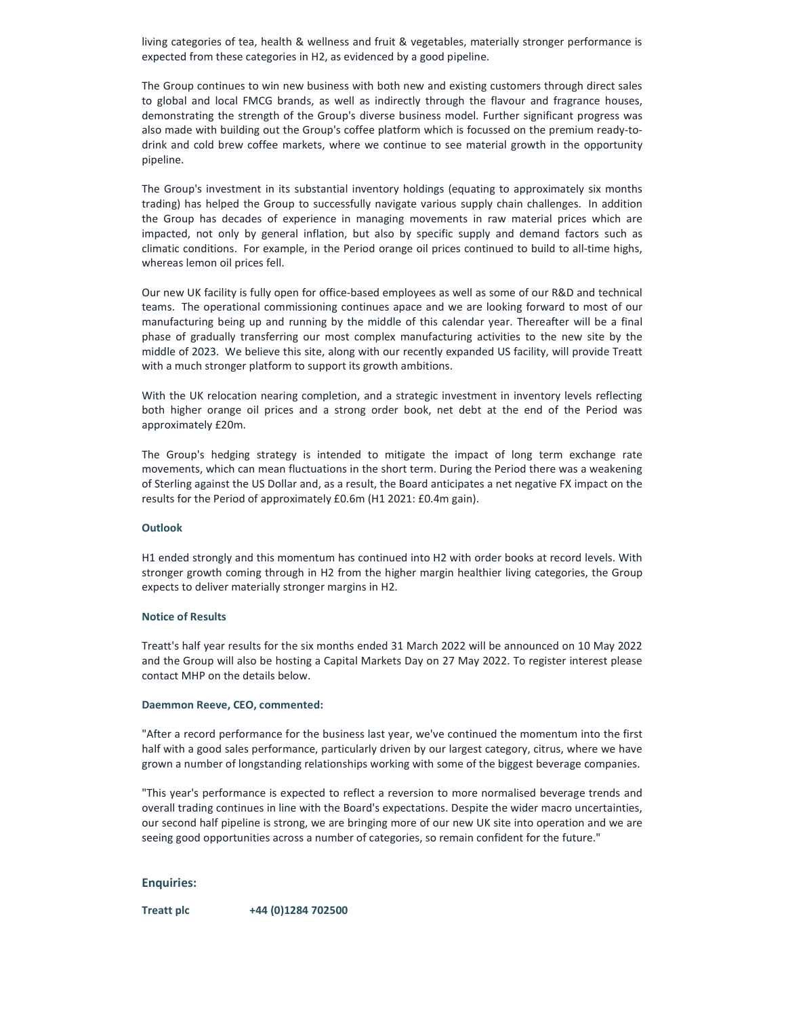living categories of tea, health & wellness and fruit & vegetables, materially stronger performance is expected from these categories in H2, as evidenced by a good pipeline.

The Group continues to win new business with both new and existing customers through direct sales to global and local FMCG brands, as well as indirectly through the flavour and fragrance houses, demonstrating the strength of the Group's diverse business model. Further significant progress was also made with building out the Group's coffee platform which is focussed on the premium ready-todrink and cold brew coffee markets, where we continue to see material growth in the opportunity pipeline.

The Group's investment in its substantial inventory holdings (equating to approximately six months trading) has helped the Group to successfully navigate various supply chain challenges. In addition the Group has decades of experience in managing movements in raw material prices which are impacted, not only by general inflation, but also by specific supply and demand factors such as climatic conditions. For example, in the Period orange oil prices continued to build to all-time highs, whereas lemon oil prices fell.

Our new UK facility is fully open for office-based employees as well as some of our R&D and technical teams. The operational commissioning continues apace and we are looking forward to most of our manufacturing being up and running by the middle of this calendar year. Thereafter will be a final phase of gradually transferring our most complex manufacturing activities to the new site by the middle of 2023. We believe this site, along with our recently expanded US facility, will provide Treatt with a much stronger platform to support its growth ambitions.

With the UK relocation nearing completion, and a strategic investment in inventory levels reflecting both higher orange oil prices and a strong order book, net debt at the end of the Period was approximately £20m.

The Group's hedging strategy is intended to mitigate the impact of long term exchange rate movements, which can mean fluctuations in the short term. During the Period there was a weakening of Sterling against the US Dollar and, as a result, the Board anticipates a net negative FX impact on the results for the Period of approximately £0.6m (H1 2021: £0.4m gain).

#### **Outlook**

H1 ended strongly and this momentum has continued into H2 with order books at record levels. With stronger growth coming through in H2 from the higher margin healthier living categories, the Group expects to deliver materially stronger margins in H2.

#### Notice of Results

Treatt's half year results for the six months ended 31 March 2022 will be announced on 10 May 2022 and the Group will also be hosting a Capital Markets Day on 27 May 2022. To register interest please contact MHP on the details below.

#### Daemmon Reeve, CEO, commented:

"After a record performance for the business last year, we've continued the momentum into the first half with a good sales performance, particularly driven by our largest category, citrus, where we have grown a number of longstanding relationships working with some of the biggest beverage companies.

"This year's performance is expected to reflect a reversion to more normalised beverage trends and overall trading continues in line with the Board's expectations. Despite the wider macro uncertainties, our second half pipeline is strong, we are bringing more of our new UK site into operation and we are seeing good opportunities across a number of categories, so remain confident for the future."

### Enquiries:

Treatt plc +44 (0)1284 702500